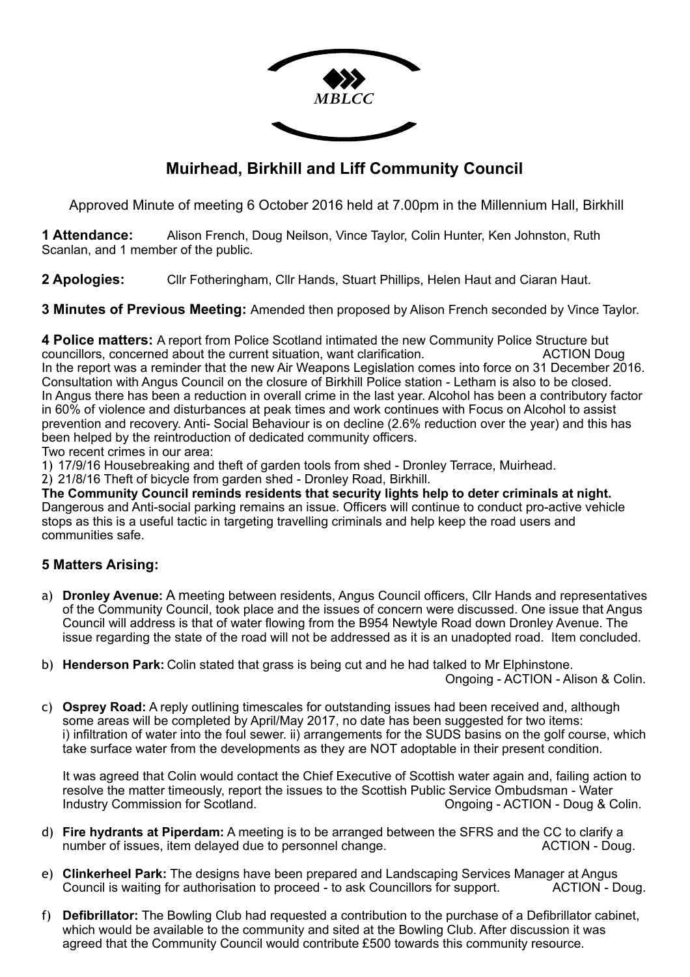

## **Muirhead, Birkhill and Liff Community Council**

Approved Minute of meeting 6 October 2016 held at 7.00pm in the Millennium Hall, Birkhill

**1 Attendance:** Alison French, Doug Neilson, Vince Taylor, Colin Hunter, Ken Johnston, Ruth Scanlan, and 1 member of the public.

**2 Apologies:** Cllr Fotheringham, Cllr Hands, Stuart Phillips, Helen Haut and Ciaran Haut.

**3 Minutes of Previous Meeting:** Amended then proposed by Alison French seconded by Vince Taylor.

**4 Police matters:** A report from Police Scotland intimated the new Community Police Structure but councillors, concerned about the current situation, want clarification. ACTION Doug In the report was a reminder that the new Air Weapons Legislation comes into force on 31 December 2016. Consultation with Angus Council on the closure of Birkhill Police station - Letham is also to be closed. In Angus there has been a reduction in overall crime in the last year. Alcohol has been a contributory factor in 60% of violence and disturbances at peak times and work continues with Focus on Alcohol to assist prevention and recovery. Anti- Social Behaviour is on decline (2.6% reduction over the year) and this has been helped by the reintroduction of dedicated community officers.

Two recent crimes in our area:

1) 17/9/16 Housebreaking and theft of garden tools from shed - Dronley Terrace, Muirhead.

2) 21/8/16 Theft of bicycle from garden shed - Dronley Road, Birkhill.

**The Community Council reminds residents that security lights help to deter criminals at night.** Dangerous and Anti-social parking remains an issue. Officers will continue to conduct pro-active vehicle stops as this is a useful tactic in targeting travelling criminals and help keep the road users and communities safe.

## **5 Matters Arising:**

- a) **Dronley Avenue:** A meeting between residents, Angus Council officers, Cllr Hands and representatives of the Community Council, took place and the issues of concern were discussed. One issue that Angus Council will address is that of water flowing from the B954 Newtyle Road down Dronley Avenue. The issue regarding the state of the road will not be addressed as it is an unadopted road. Item concluded.
- b) **Henderson Park:** Colin stated that grass is being cut and he had talked to Mr Elphinstone.

Ongoing - ACTION - Alison & Colin.

c) **Osprey Road:** A reply outlining timescales for outstanding issues had been received and, although some areas will be completed by April/May 2017, no date has been suggested for two items: i) infiltration of water into the foul sewer. ii) arrangements for the SUDS basins on the golf course, which take surface water from the developments as they are NOT adoptable in their present condition.

It was agreed that Colin would contact the Chief Executive of Scottish water again and, failing action to resolve the matter timeously, report the issues to the Scottish Public Service Ombudsman - Water Industry Commission for Scotland. Commission for Scotland. Commission for Scotland. Commission for Scotland. Commission for Scotland. Commission for Scotland. Commission for Scotland. Commission for Scotland. Commission fo

- d) **Fire hydrants at Piperdam:** A meeting is to be arranged between the SFRS and the CC to clarify a number of issues, item delayed due to personnel change. ACTION - Doug.
- e) **Clinkerheel Park:** The designs have been prepared and Landscaping Services Manager at Angus Council is waiting for authorisation to proceed - to ask Councillors for support. ACTION - Doug.
- f) **Defibrillator:** The Bowling Club had requested a contribution to the purchase of a Defibrillator cabinet, which would be available to the community and sited at the Bowling Club. After discussion it was agreed that the Community Council would contribute £500 towards this community resource.